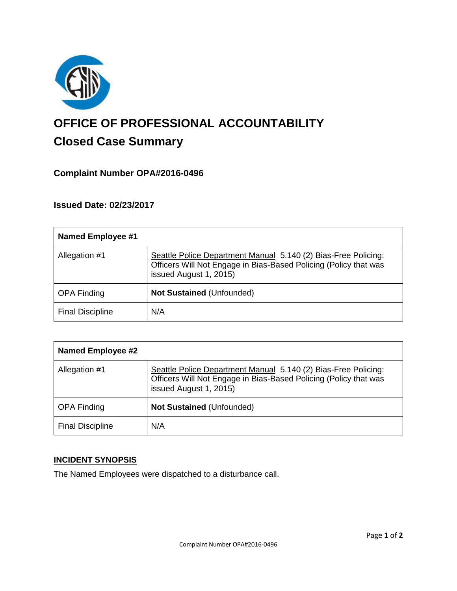

# **OFFICE OF PROFESSIONAL ACCOUNTABILITY Closed Case Summary**

## **Complaint Number OPA#2016-0496**

## **Issued Date: 02/23/2017**

| <b>Named Employee #1</b> |                                                                                                                                                              |
|--------------------------|--------------------------------------------------------------------------------------------------------------------------------------------------------------|
| Allegation #1            | Seattle Police Department Manual 5.140 (2) Bias-Free Policing:<br>Officers Will Not Engage in Bias-Based Policing (Policy that was<br>issued August 1, 2015) |
| <b>OPA Finding</b>       | Not Sustained (Unfounded)                                                                                                                                    |
| <b>Final Discipline</b>  | N/A                                                                                                                                                          |

| <b>Named Employee #2</b> |                                                                                                                                                              |
|--------------------------|--------------------------------------------------------------------------------------------------------------------------------------------------------------|
| Allegation #1            | Seattle Police Department Manual 5.140 (2) Bias-Free Policing:<br>Officers Will Not Engage in Bias-Based Policing (Policy that was<br>issued August 1, 2015) |
| <b>OPA Finding</b>       | <b>Not Sustained (Unfounded)</b>                                                                                                                             |
| <b>Final Discipline</b>  | N/A                                                                                                                                                          |

## **INCIDENT SYNOPSIS**

The Named Employees were dispatched to a disturbance call.